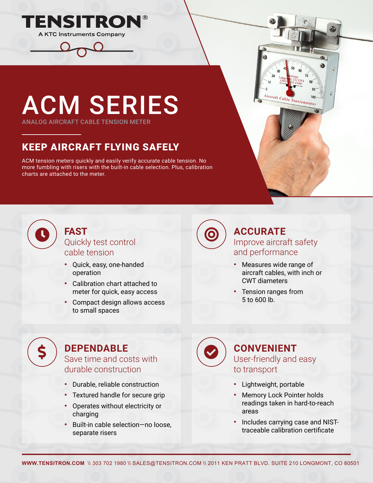



ANALOG AIRCRAFT CABLE TENSION METER

# KEEP AIRCRAFT FLYING SAFELY

ACM tension meters quickly and easily verify accurate cable tension. No more fumbling with risers with the built-in cable selection. Plus, calibration charts are attached to the meter.



#### **FAST Quickly test control** (**Q** cable tension

- Quick, easy, one-handed operation
- Calibration chart attached to meter for quick, easy access
- Compact design allows access to small spaces

#### **ACCURATE** Improve aircraft safety and performance

Aircraft Cable Tensionmeter

- Measures wide range of aircraft cables, with inch or CWT diameters
- Tension ranges from 5 to 600 lb.

#### **DEPENDABLE**  $\textsf{S}$  ) DEPENDABLE Save time and costs with  $\bigotimes$

durable construction

- Durable, reliable construction
- Textured handle for secure grip
- Operates without electricity or charging
- Built-in cable selection—no loose, separate risers

#### **CONVENIENT** User-friendly and easy to transport

- Lightweight, portable
- Memory Lock Pointer holds readings taken in hard-to-reach areas
- Includes carrying case and NISTtraceable calibration certificate